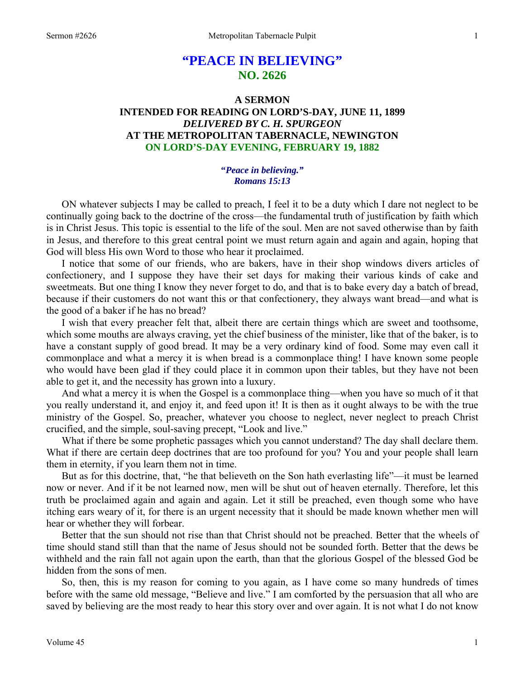# **"PEACE IN BELIEVING" NO. 2626**

# **A SERMON INTENDED FOR READING ON LORD'S-DAY, JUNE 11, 1899**  *DELIVERED BY C. H. SPURGEON*  **AT THE METROPOLITAN TABERNACLE, NEWINGTON ON LORD'S-DAY EVENING, FEBRUARY 19, 1882**

## **"***Peace in believing." Romans 15:13*

ON whatever subjects I may be called to preach, I feel it to be a duty which I dare not neglect to be continually going back to the doctrine of the cross—the fundamental truth of justification by faith which is in Christ Jesus. This topic is essential to the life of the soul. Men are not saved otherwise than by faith in Jesus, and therefore to this great central point we must return again and again and again, hoping that God will bless His own Word to those who hear it proclaimed.

 I notice that some of our friends, who are bakers, have in their shop windows divers articles of confectionery, and I suppose they have their set days for making their various kinds of cake and sweetmeats. But one thing I know they never forget to do, and that is to bake every day a batch of bread, because if their customers do not want this or that confectionery, they always want bread—and what is the good of a baker if he has no bread?

 I wish that every preacher felt that, albeit there are certain things which are sweet and toothsome, which some mouths are always craving, yet the chief business of the minister, like that of the baker, is to have a constant supply of good bread. It may be a very ordinary kind of food. Some may even call it commonplace and what a mercy it is when bread is a commonplace thing! I have known some people who would have been glad if they could place it in common upon their tables, but they have not been able to get it, and the necessity has grown into a luxury.

 And what a mercy it is when the Gospel is a commonplace thing—when you have so much of it that you really understand it, and enjoy it, and feed upon it! It is then as it ought always to be with the true ministry of the Gospel. So, preacher, whatever you choose to neglect, never neglect to preach Christ crucified, and the simple, soul-saving precept, "Look and live."

 What if there be some prophetic passages which you cannot understand? The day shall declare them. What if there are certain deep doctrines that are too profound for you? You and your people shall learn them in eternity, if you learn them not in time.

 But as for this doctrine, that, "he that believeth on the Son hath everlasting life"—it must be learned now or never. And if it be not learned now, men will be shut out of heaven eternally. Therefore, let this truth be proclaimed again and again and again. Let it still be preached, even though some who have itching ears weary of it, for there is an urgent necessity that it should be made known whether men will hear or whether they will forbear.

 Better that the sun should not rise than that Christ should not be preached. Better that the wheels of time should stand still than that the name of Jesus should not be sounded forth. Better that the dews be withheld and the rain fall not again upon the earth, than that the glorious Gospel of the blessed God be hidden from the sons of men.

 So, then, this is my reason for coming to you again, as I have come so many hundreds of times before with the same old message, "Believe and live." I am comforted by the persuasion that all who are saved by believing are the most ready to hear this story over and over again. It is not what I do not know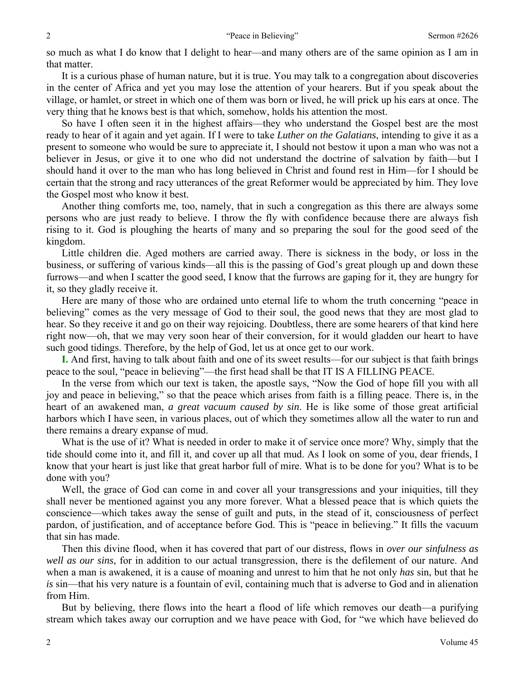so much as what I do know that I delight to hear—and many others are of the same opinion as I am in that matter.

 It is a curious phase of human nature, but it is true. You may talk to a congregation about discoveries in the center of Africa and yet you may lose the attention of your hearers. But if you speak about the village, or hamlet, or street in which one of them was born or lived, he will prick up his ears at once. The very thing that he knows best is that which, somehow, holds his attention the most.

 So have I often seen it in the highest affairs—they who understand the Gospel best are the most ready to hear of it again and yet again. If I were to take *Luther on the Galatians*, intending to give it as a present to someone who would be sure to appreciate it, I should not bestow it upon a man who was not a believer in Jesus, or give it to one who did not understand the doctrine of salvation by faith—but I should hand it over to the man who has long believed in Christ and found rest in Him—for I should be certain that the strong and racy utterances of the great Reformer would be appreciated by him. They love the Gospel most who know it best.

 Another thing comforts me, too, namely, that in such a congregation as this there are always some persons who are just ready to believe. I throw the fly with confidence because there are always fish rising to it. God is ploughing the hearts of many and so preparing the soul for the good seed of the kingdom.

 Little children die. Aged mothers are carried away. There is sickness in the body, or loss in the business, or suffering of various kinds—all this is the passing of God's great plough up and down these furrows—and when I scatter the good seed, I know that the furrows are gaping for it, they are hungry for it, so they gladly receive it.

 Here are many of those who are ordained unto eternal life to whom the truth concerning "peace in believing" comes as the very message of God to their soul, the good news that they are most glad to hear. So they receive it and go on their way rejoicing. Doubtless, there are some hearers of that kind here right now—oh, that we may very soon hear of their conversion, for it would gladden our heart to have such good tidings. Therefore, by the help of God, let us at once get to our work.

**I.** And first, having to talk about faith and one of its sweet results—for our subject is that faith brings peace to the soul, "peace in believing"—the first head shall be that IT IS A FILLING PEACE.

 In the verse from which our text is taken, the apostle says, "Now the God of hope fill you with all joy and peace in believing," so that the peace which arises from faith is a filling peace. There is, in the heart of an awakened man, *a great vacuum caused by sin*. He is like some of those great artificial harbors which I have seen, in various places, out of which they sometimes allow all the water to run and there remains a dreary expanse of mud.

 What is the use of it? What is needed in order to make it of service once more? Why, simply that the tide should come into it, and fill it, and cover up all that mud. As I look on some of you, dear friends, I know that your heart is just like that great harbor full of mire. What is to be done for you? What is to be done with you?

 Well, the grace of God can come in and cover all your transgressions and your iniquities, till they shall never be mentioned against you any more forever. What a blessed peace that is which quiets the conscience—which takes away the sense of guilt and puts, in the stead of it, consciousness of perfect pardon, of justification, and of acceptance before God. This is "peace in believing." It fills the vacuum that sin has made.

 Then this divine flood, when it has covered that part of our distress, flows in *over our sinfulness as well as our sins*, for in addition to our actual transgression, there is the defilement of our nature. And when a man is awakened, it is a cause of moaning and unrest to him that he not only *has* sin, but that he *is* sin—that his very nature is a fountain of evil, containing much that is adverse to God and in alienation from Him.

 But by believing, there flows into the heart a flood of life which removes our death—a purifying stream which takes away our corruption and we have peace with God, for "we which have believed do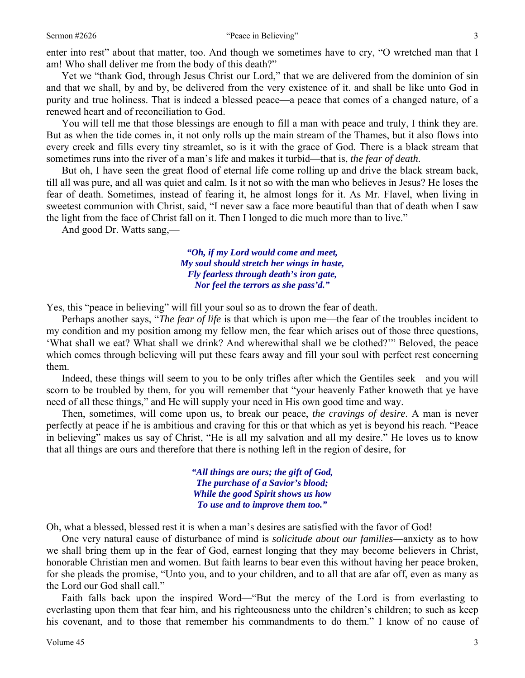enter into rest" about that matter, too. And though we sometimes have to cry, "O wretched man that I am! Who shall deliver me from the body of this death?"

 Yet we "thank God, through Jesus Christ our Lord," that we are delivered from the dominion of sin and that we shall, by and by, be delivered from the very existence of it. and shall be like unto God in purity and true holiness. That is indeed a blessed peace—a peace that comes of a changed nature, of a renewed heart and of reconciliation to God.

 You will tell me that those blessings are enough to fill a man with peace and truly, I think they are. But as when the tide comes in, it not only rolls up the main stream of the Thames, but it also flows into every creek and fills every tiny streamlet, so is it with the grace of God. There is a black stream that sometimes runs into the river of a man's life and makes it turbid—that is, *the fear of death*.

 But oh, I have seen the great flood of eternal life come rolling up and drive the black stream back, till all was pure, and all was quiet and calm. Is it not so with the man who believes in Jesus? He loses the fear of death. Sometimes, instead of fearing it, he almost longs for it. As Mr. Flavel, when living in sweetest communion with Christ, said, "I never saw a face more beautiful than that of death when I saw the light from the face of Christ fall on it. Then I longed to die much more than to live."

And good Dr. Watts sang,—

*"Oh, if my Lord would come and meet, My soul should stretch her wings in haste, Fly fearless through death's iron gate, Nor feel the terrors as she pass'd."* 

Yes, this "peace in believing" will fill your soul so as to drown the fear of death.

 Perhaps another says, "*The fear of life* is that which is upon me—the fear of the troubles incident to my condition and my position among my fellow men, the fear which arises out of those three questions, 'What shall we eat? What shall we drink? And wherewithal shall we be clothed?'" Beloved, the peace which comes through believing will put these fears away and fill your soul with perfect rest concerning them.

 Indeed, these things will seem to you to be only trifles after which the Gentiles seek—and you will scorn to be troubled by them, for you will remember that "your heavenly Father knoweth that ye have need of all these things," and He will supply your need in His own good time and way.

 Then, sometimes, will come upon us, to break our peace, *the cravings of desire*. A man is never perfectly at peace if he is ambitious and craving for this or that which as yet is beyond his reach. "Peace in believing" makes us say of Christ, "He is all my salvation and all my desire." He loves us to know that all things are ours and therefore that there is nothing left in the region of desire, for—

> *"All things are ours; the gift of God, The purchase of a Savior's blood; While the good Spirit shows us how To use and to improve them too."*

Oh, what a blessed, blessed rest it is when a man's desires are satisfied with the favor of God!

 One very natural cause of disturbance of mind is *solicitude about our families*—anxiety as to how we shall bring them up in the fear of God, earnest longing that they may become believers in Christ, honorable Christian men and women. But faith learns to bear even this without having her peace broken, for she pleads the promise, "Unto you, and to your children, and to all that are afar off, even as many as the Lord our God shall call."

 Faith falls back upon the inspired Word—"But the mercy of the Lord is from everlasting to everlasting upon them that fear him, and his righteousness unto the children's children; to such as keep his covenant, and to those that remember his commandments to do them." I know of no cause of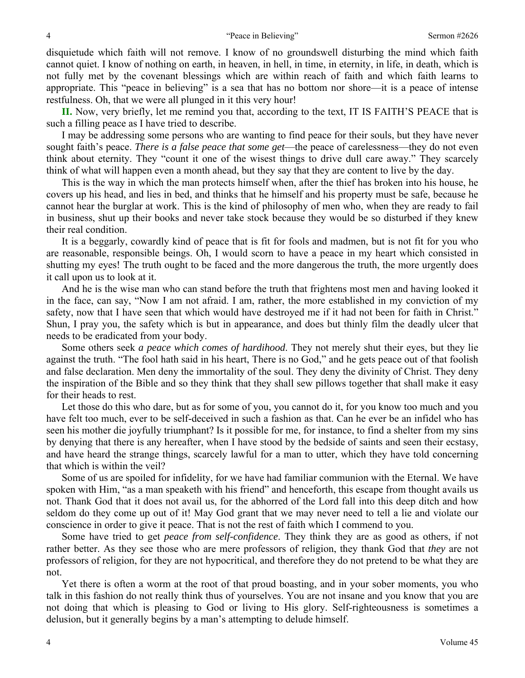disquietude which faith will not remove. I know of no groundswell disturbing the mind which faith cannot quiet. I know of nothing on earth, in heaven, in hell, in time, in eternity, in life, in death, which is not fully met by the covenant blessings which are within reach of faith and which faith learns to appropriate. This "peace in believing" is a sea that has no bottom nor shore—it is a peace of intense restfulness. Oh, that we were all plunged in it this very hour!

**II.** Now, very briefly, let me remind you that, according to the text, IT IS FAITH'S PEACE that is such a filling peace as I have tried to describe.

 I may be addressing some persons who are wanting to find peace for their souls, but they have never sought faith's peace. *There is a false peace that some get*—the peace of carelessness—they do not even think about eternity. They "count it one of the wisest things to drive dull care away." They scarcely think of what will happen even a month ahead, but they say that they are content to live by the day.

 This is the way in which the man protects himself when, after the thief has broken into his house, he covers up his head, and lies in bed, and thinks that he himself and his property must be safe, because he cannot hear the burglar at work. This is the kind of philosophy of men who, when they are ready to fail in business, shut up their books and never take stock because they would be so disturbed if they knew their real condition.

 It is a beggarly, cowardly kind of peace that is fit for fools and madmen, but is not fit for you who are reasonable, responsible beings. Oh, I would scorn to have a peace in my heart which consisted in shutting my eyes! The truth ought to be faced and the more dangerous the truth, the more urgently does it call upon us to look at it.

 And he is the wise man who can stand before the truth that frightens most men and having looked it in the face, can say, "Now I am not afraid. I am, rather, the more established in my conviction of my safety, now that I have seen that which would have destroyed me if it had not been for faith in Christ." Shun, I pray you, the safety which is but in appearance, and does but thinly film the deadly ulcer that needs to be eradicated from your body.

 Some others seek *a peace which comes of hardihood*. They not merely shut their eyes, but they lie against the truth. "The fool hath said in his heart, There is no God," and he gets peace out of that foolish and false declaration. Men deny the immortality of the soul. They deny the divinity of Christ. They deny the inspiration of the Bible and so they think that they shall sew pillows together that shall make it easy for their heads to rest.

 Let those do this who dare, but as for some of you, you cannot do it, for you know too much and you have felt too much, ever to be self-deceived in such a fashion as that. Can he ever be an infidel who has seen his mother die joyfully triumphant? Is it possible for me, for instance, to find a shelter from my sins by denying that there is any hereafter, when I have stood by the bedside of saints and seen their ecstasy, and have heard the strange things, scarcely lawful for a man to utter, which they have told concerning that which is within the veil?

 Some of us are spoiled for infidelity, for we have had familiar communion with the Eternal. We have spoken with Him, "as a man speaketh with his friend" and henceforth, this escape from thought avails us not. Thank God that it does not avail us, for the abhorred of the Lord fall into this deep ditch and how seldom do they come up out of it! May God grant that we may never need to tell a lie and violate our conscience in order to give it peace. That is not the rest of faith which I commend to you.

 Some have tried to get *peace from self-confidence*. They think they are as good as others, if not rather better. As they see those who are mere professors of religion, they thank God that *they* are not professors of religion, for they are not hypocritical, and therefore they do not pretend to be what they are not.

 Yet there is often a worm at the root of that proud boasting, and in your sober moments, you who talk in this fashion do not really think thus of yourselves. You are not insane and you know that you are not doing that which is pleasing to God or living to His glory. Self-righteousness is sometimes a delusion, but it generally begins by a man's attempting to delude himself.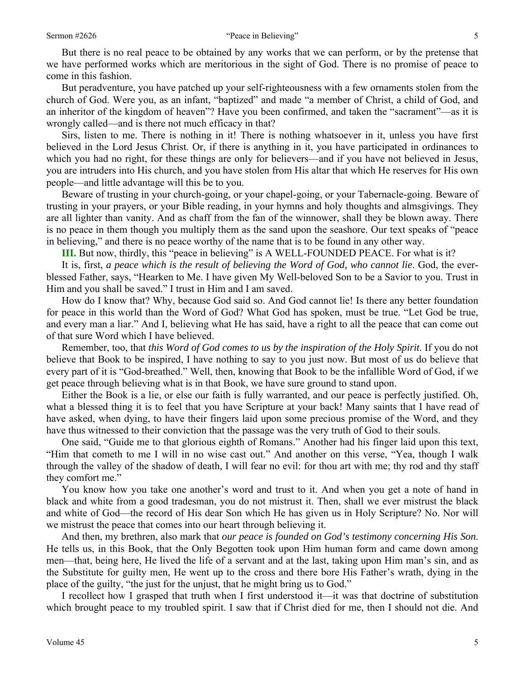But there is no real peace to be obtained by any works that we can perform, or by the pretense that we have performed works which are meritorious in the sight of God. There is no promise of peace to come in this fashion.

 But peradventure, you have patched up your self-righteousness with a few ornaments stolen from the church of God. Were you, as an infant, "baptized" and made "a member of Christ, a child of God, and an inheritor of the kingdom of heaven"? Have you been confirmed, and taken the "sacrament"—as it is wrongly called—and is there not much efficacy in that?

 Sirs, listen to me. There is nothing in it! There is nothing whatsoever in it, unless you have first believed in the Lord Jesus Christ. Or, if there is anything in it, you have participated in ordinances to which you had no right, for these things are only for believers—and if you have not believed in Jesus, you are intruders into His church, and you have stolen from His altar that which He reserves for His own people—and little advantage will this be to you.

 Beware of trusting in your church-going, or your chapel-going, or your Tabernacle-going. Beware of trusting in your prayers, or your Bible reading, in your hymns and holy thoughts and almsgivings. They are all lighter than vanity. And as chaff from the fan of the winnower, shall they be blown away. There is no peace in them though you multiply them as the sand upon the seashore. Our text speaks of "peace in believing," and there is no peace worthy of the name that is to be found in any other way.

**III.** But now, thirdly, this "peace in believing" is A WELL-FOUNDED PEACE. For what is it?

 It is, first, *a peace which is the result of believing the Word of God, who cannot lie*. God, the everblessed Father, says, "Hearken to Me. I have given My Well-beloved Son to be a Savior to you. Trust in Him and you shall be saved." I trust in Him and I am saved.

 How do I know that? Why, because God said so. And God cannot lie! Is there any better foundation for peace in this world than the Word of God? What God has spoken, must be true. "Let God be true, and every man a liar." And I, believing what He has said, have a right to all the peace that can come out of that sure Word which I have believed.

 Remember, too, that *this Word of God comes to us by the inspiration of the Holy Spirit*. If you do not believe that Book to be inspired, I have nothing to say to you just now. But most of us do believe that every part of it is "God-breathed." Well, then, knowing that Book to be the infallible Word of God, if we get peace through believing what is in that Book, we have sure ground to stand upon.

 Either the Book is a lie, or else our faith is fully warranted, and our peace is perfectly justified. Oh, what a blessed thing it is to feel that you have Scripture at your back! Many saints that I have read of have asked, when dying, to have their fingers laid upon some precious promise of the Word, and they have thus witnessed to their conviction that the passage was the very truth of God to their souls.

 One said, "Guide me to that glorious eighth of Romans." Another had his finger laid upon this text, "Him that cometh to me I will in no wise cast out." And another on this verse, "Yea, though I walk through the valley of the shadow of death, I will fear no evil: for thou art with me; thy rod and thy staff they comfort me."

 You know how you take one another's word and trust to it. And when you get a note of hand in black and white from a good tradesman, you do not mistrust it. Then, shall we ever mistrust the black and white of God—the record of His dear Son which He has given us in Holy Scripture? No. Nor will we mistrust the peace that comes into our heart through believing it.

 And then, my brethren, also mark that *our peace is founded on God's testimony concerning His Son*. He tells us, in this Book, that the Only Begotten took upon Him human form and came down among men—that, being here, He lived the life of a servant and at the last, taking upon Him man's sin, and as the Substitute for guilty men, He went up to the cross and there bore His Father's wrath, dying in the place of the guilty, "the just for the unjust, that he might bring us to God."

 I recollect how I grasped that truth when I first understood it—it was that doctrine of substitution which brought peace to my troubled spirit. I saw that if Christ died for me, then I should not die. And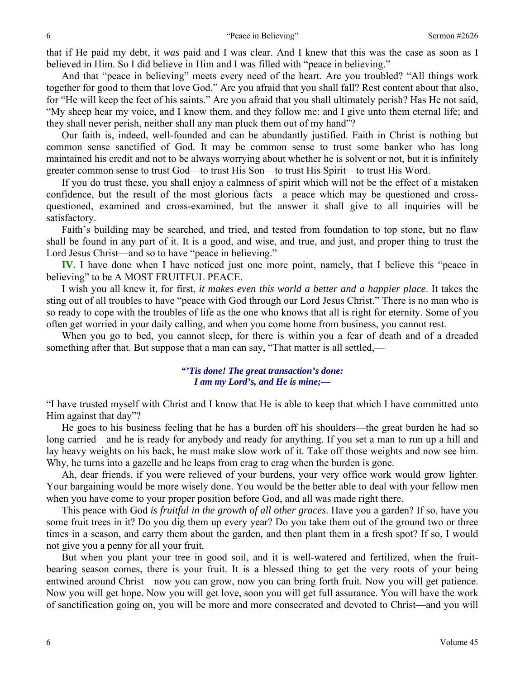that if He paid my debt, it *was* paid and I was clear. And I knew that this was the case as soon as I believed in Him. So I did believe in Him and I was filled with "peace in believing."

 And that "peace in believing" meets every need of the heart. Are you troubled? "All things work together for good to them that love God." Are you afraid that you shall fall? Rest content about that also, for "He will keep the feet of his saints." Are you afraid that you shall ultimately perish? Has He not said, "My sheep hear my voice, and I know them, and they follow me: and I give unto them eternal life; and they shall never perish, neither shall any man pluck them out of my hand"?

 Our faith is, indeed, well-founded and can be abundantly justified. Faith in Christ is nothing but common sense sanctified of God. It may be common sense to trust some banker who has long maintained his credit and not to be always worrying about whether he is solvent or not, but it is infinitely greater common sense to trust God—to trust His Son—to trust His Spirit—to trust His Word.

 If you do trust these, you shall enjoy a calmness of spirit which will not be the effect of a mistaken confidence, but the result of the most glorious facts—a peace which may be questioned and crossquestioned, examined and cross-examined, but the answer it shall give to all inquiries will be satisfactory.

 Faith's building may be searched, and tried, and tested from foundation to top stone, but no flaw shall be found in any part of it. It is a good, and wise, and true, and just, and proper thing to trust the Lord Jesus Christ—and so to have "peace in believing."

**IV.** I have done when I have noticed just one more point, namely, that I believe this "peace in believing" to be A MOST FRUITFUL PEACE.

 I wish you all knew it, for first, *it makes even this world a better and a happier place*. It takes the sting out of all troubles to have "peace with God through our Lord Jesus Christ." There is no man who is so ready to cope with the troubles of life as the one who knows that all is right for eternity. Some of you often get worried in your daily calling, and when you come home from business, you cannot rest.

 When you go to bed, you cannot sleep, for there is within you a fear of death and of a dreaded something after that. But suppose that a man can say, "That matter is all settled,—

> *"'Tis done! The great transaction's done: I am my Lord's, and He is mine;—*

"I have trusted myself with Christ and I know that He is able to keep that which I have committed unto Him against that day"?

 He goes to his business feeling that he has a burden off his shoulders—the great burden he had so long carried—and he is ready for anybody and ready for anything. If you set a man to run up a hill and lay heavy weights on his back, he must make slow work of it. Take off those weights and now see him. Why, he turns into a gazelle and he leaps from crag to crag when the burden is gone.

 Ah, dear friends, if you were relieved of your burdens, your very office work would grow lighter. Your bargaining would be more wisely done. You would be the better able to deal with your fellow men when you have come to your proper position before God, and all was made right there.

 This peace with God *is fruitful in the growth of all other graces*. Have you a garden? If so, have you some fruit trees in it? Do you dig them up every year? Do you take them out of the ground two or three times in a season, and carry them about the garden, and then plant them in a fresh spot? If so, I would not give you a penny for all your fruit.

 But when you plant your tree in good soil, and it is well-watered and fertilized, when the fruitbearing season comes, there is your fruit. It is a blessed thing to get the very roots of your being entwined around Christ—now you can grow, now you can bring forth fruit. Now you will get patience. Now you will get hope. Now you will get love, soon you will get full assurance. You will have the work of sanctification going on, you will be more and more consecrated and devoted to Christ—and you will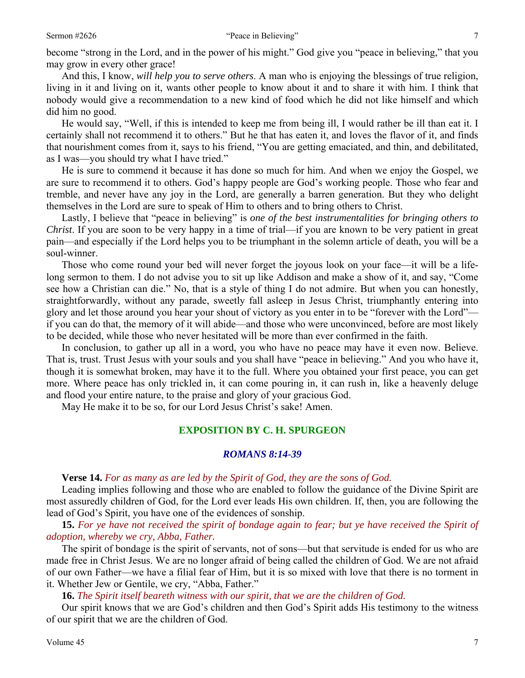become "strong in the Lord, and in the power of his might." God give you "peace in believing," that you may grow in every other grace!

 And this, I know, *will help you to serve others*. A man who is enjoying the blessings of true religion, living in it and living on it, wants other people to know about it and to share it with him. I think that nobody would give a recommendation to a new kind of food which he did not like himself and which did him no good.

 He would say, "Well, if this is intended to keep me from being ill, I would rather be ill than eat it. I certainly shall not recommend it to others." But he that has eaten it, and loves the flavor of it, and finds that nourishment comes from it, says to his friend, "You are getting emaciated, and thin, and debilitated, as I was—you should try what I have tried."

 He is sure to commend it because it has done so much for him. And when we enjoy the Gospel, we are sure to recommend it to others. God's happy people are God's working people. Those who fear and tremble, and never have any joy in the Lord, are generally a barren generation. But they who delight themselves in the Lord are sure to speak of Him to others and to bring others to Christ.

 Lastly, I believe that "peace in believing" is *one of the best instrumentalities for bringing others to Christ*. If you are soon to be very happy in a time of trial—if you are known to be very patient in great pain—and especially if the Lord helps you to be triumphant in the solemn article of death, you will be a soul-winner.

 Those who come round your bed will never forget the joyous look on your face—it will be a lifelong sermon to them. I do not advise you to sit up like Addison and make a show of it, and say, "Come see how a Christian can die." No, that is a style of thing I do not admire. But when you can honestly, straightforwardly, without any parade, sweetly fall asleep in Jesus Christ, triumphantly entering into glory and let those around you hear your shout of victory as you enter in to be "forever with the Lord" if you can do that, the memory of it will abide—and those who were unconvinced, before are most likely to be decided, while those who never hesitated will be more than ever confirmed in the faith.

 In conclusion, to gather up all in a word, you who have no peace may have it even now. Believe. That is, trust. Trust Jesus with your souls and you shall have "peace in believing." And you who have it, though it is somewhat broken, may have it to the full. Where you obtained your first peace, you can get more. Where peace has only trickled in, it can come pouring in, it can rush in, like a heavenly deluge and flood your entire nature, to the praise and glory of your gracious God.

May He make it to be so, for our Lord Jesus Christ's sake! Amen.

# **EXPOSITION BY C. H. SPURGEON**

## *ROMANS 8:14-39*

#### **Verse 14.** *For as many as are led by the Spirit of God, they are the sons of God.*

Leading implies following and those who are enabled to follow the guidance of the Divine Spirit are most assuredly children of God, for the Lord ever leads His own children. If, then, you are following the lead of God's Spirit, you have one of the evidences of sonship.

 **15.** *For ye have not received the spirit of bondage again to fear; but ye have received the Spirit of adoption, whereby we cry, Abba, Father.* 

The spirit of bondage is the spirit of servants, not of sons—but that servitude is ended for us who are made free in Christ Jesus. We are no longer afraid of being called the children of God. We are not afraid of our own Father—we have a filial fear of Him, but it is so mixed with love that there is no torment in it. Whether Jew or Gentile, we cry, "Abba, Father."

 **16.** *The Spirit itself beareth witness with our spirit, that we are the children of God.* 

Our spirit knows that we are God's children and then God's Spirit adds His testimony to the witness of our spirit that we are the children of God.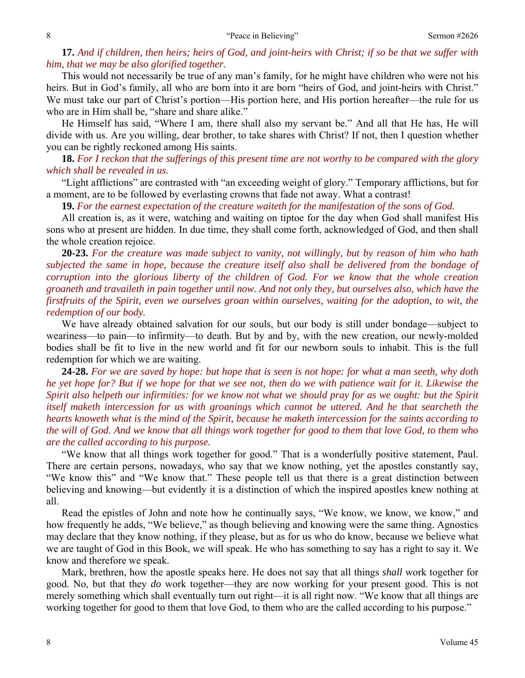**17.** *And if children, then heirs; heirs of God, and joint-heirs with Christ; if so be that we suffer with him, that we may be also glorified together.* 

This would not necessarily be true of any man's family, for he might have children who were not his heirs. But in God's family, all who are born into it are born "heirs of God, and joint-heirs with Christ." We must take our part of Christ's portion—His portion here, and His portion hereafter—the rule for us who are in Him shall be, "share and share alike."

 He Himself has said, "Where I am, there shall also my servant be." And all that He has, He will divide with us. Are you willing, dear brother, to take shares with Christ? If not, then I question whether you can be rightly reckoned among His saints.

**18.** *For I reckon that the sufferings of this present time are not worthy to be compared with the glory which shall be revealed in us.* 

"Light afflictions" are contrasted with "an exceeding weight of glory." Temporary afflictions, but for a moment, are to be followed by everlasting crowns that fade not away. What a contrast!

**19.** *For the earnest expectation of the creature waiteth for the manifestation of the sons of God.* 

All creation is, as it were, watching and waiting on tiptoe for the day when God shall manifest His sons who at present are hidden. In due time, they shall come forth, acknowledged of God, and then shall the whole creation rejoice.

**20-23.** *For the creature was made subject to vanity, not willingly, but by reason of him who hath subjected the same in hope, because the creature itself also shall be delivered from the bondage of corruption into the glorious liberty of the children of God. For we know that the whole creation groaneth and travaileth in pain together until now. And not only they, but ourselves also, which have the firstfruits of the Spirit, even we ourselves groan within ourselves, waiting for the adoption, to wit, the redemption of our body.* 

We have already obtained salvation for our souls, but our body is still under bondage—subject to weariness—to pain—to infirmity—to death. But by and by, with the new creation, our newly-molded bodies shall be fit to live in the new world and fit for our newborn souls to inhabit. This is the full redemption for which we are waiting.

**24-28.** *For we are saved by hope: but hope that is seen is not hope: for what a man seeth, why doth he yet hope for? But if we hope for that we see not, then do we with patience wait for it. Likewise the Spirit also helpeth our infirmities: for we know not what we should pray for as we ought: but the Spirit itself maketh intercession for us with groanings which cannot be uttered. And he that searcheth the hearts knoweth what is the mind of the Spirit, because he maketh intercession for the saints according to the will of God. And we know that all things work together for good to them that love God, to them who are the called according to his purpose.* 

"We know that all things work together for good." That is a wonderfully positive statement, Paul. There are certain persons, nowadays, who say that we know nothing, yet the apostles constantly say, "We know this" and "We know that." These people tell us that there is a great distinction between believing and knowing—but evidently it is a distinction of which the inspired apostles knew nothing at all.

 Read the epistles of John and note how he continually says, "We know, we know, we know," and how frequently he adds, "We believe," as though believing and knowing were the same thing. Agnostics may declare that they know nothing, if they please, but as for us who do know, because we believe what we are taught of God in this Book, we will speak. He who has something to say has a right to say it. We know and therefore we speak.

 Mark, brethren, how the apostle speaks here. He does not say that all things *shall* work together for good. No, but that they *do* work together—they are now working for your present good. This is not merely something which shall eventually turn out right—it is all right now. "We know that all things are working together for good to them that love God, to them who are the called according to his purpose."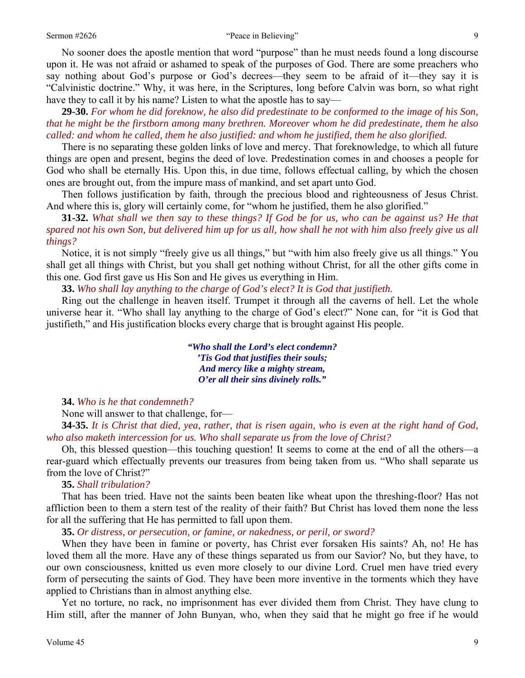#### Sermon #2626 "Peace in Believing" 9

 No sooner does the apostle mention that word "purpose" than he must needs found a long discourse upon it. He was not afraid or ashamed to speak of the purposes of God. There are some preachers who say nothing about God's purpose or God's decrees—they seem to be afraid of it—they say it is "Calvinistic doctrine." Why, it was here, in the Scriptures, long before Calvin was born, so what right have they to call it by his name? Listen to what the apostle has to say—

**29-30.** *For whom he did foreknow, he also did predestinate to be conformed to the image of his Son, that he might be the firstborn among many brethren. Moreover whom he did predestinate, them he also called: and whom he called, them he also justified: and whom he justified, them he also glorified.* 

There is no separating these golden links of love and mercy. That foreknowledge, to which all future things are open and present, begins the deed of love. Predestination comes in and chooses a people for God who shall be eternally His. Upon this, in due time, follows effectual calling, by which the chosen ones are brought out, from the impure mass of mankind, and set apart unto God.

 Then follows justification by faith, through the precious blood and righteousness of Jesus Christ. And where this is, glory will certainly come, for "whom he justified, them he also glorified."

**31-32.** *What shall we then say to these things? If God be for us, who can be against us? He that spared not his own Son, but delivered him up for us all, how shall he not with him also freely give us all things?* 

Notice, it is not simply "freely give us all things," but "with him also freely give us all things." You shall get all things with Christ, but you shall get nothing without Christ, for all the other gifts come in this one. God first gave us His Son and He gives us everything in Him.

 **33.** *Who shall lay anything to the charge of God's elect? It is God that justifieth.* 

Ring out the challenge in heaven itself. Trumpet it through all the caverns of hell. Let the whole universe hear it. "Who shall lay anything to the charge of God's elect?" None can, for "it is God that justifieth," and His justification blocks every charge that is brought against His people.

> *"Who shall the Lord's elect condemn? 'Tis God that justifies their souls; And mercy like a mighty stream, O'er all their sins divinely rolls."*

#### **34.** *Who is he that condemneth?*

None will answer to that challenge, for—

**34-35.** *It is Christ that died, yea, rather, that is risen again, who is even at the right hand of God, who also maketh intercession for us. Who shall separate us from the love of Christ?* 

Oh, this blessed question—this touching question! It seems to come at the end of all the others—a rear-guard which effectually prevents our treasures from being taken from us. "Who shall separate us from the love of Christ?"

#### **35.** *Shall tribulation?*

That has been tried. Have not the saints been beaten like wheat upon the threshing-floor? Has not affliction been to them a stern test of the reality of their faith? But Christ has loved them none the less for all the suffering that He has permitted to fall upon them.

**35.** *Or distress, or persecution, or famine, or nakedness, or peril, or sword?* 

When they have been in famine or poverty, has Christ ever forsaken His saints? Ah, no! He has loved them all the more. Have any of these things separated us from our Savior? No, but they have, to our own consciousness, knitted us even more closely to our divine Lord. Cruel men have tried every form of persecuting the saints of God. They have been more inventive in the torments which they have applied to Christians than in almost anything else.

 Yet no torture, no rack, no imprisonment has ever divided them from Christ. They have clung to Him still, after the manner of John Bunyan, who, when they said that he might go free if he would